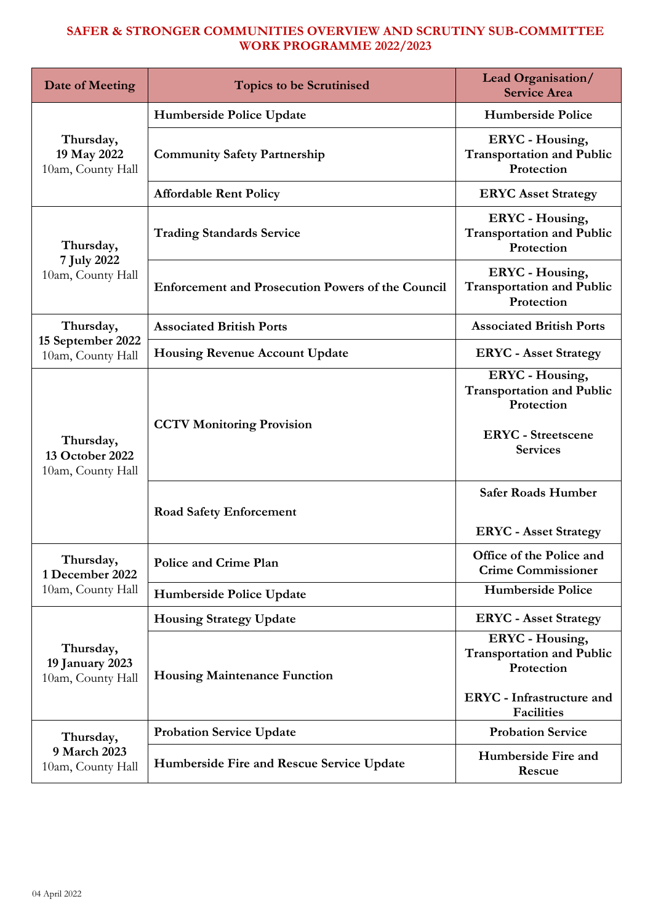| Date of Meeting                                   | <b>Topics to be Scrutinised</b>                          | <b>Lead Organisation/</b><br><b>Service Area</b>                                                                           |
|---------------------------------------------------|----------------------------------------------------------|----------------------------------------------------------------------------------------------------------------------------|
|                                                   | Humberside Police Update                                 | <b>Humberside Police</b>                                                                                                   |
| Thursday,<br>19 May 2022<br>10am, County Hall     | <b>Community Safety Partnership</b>                      | <b>ERYC</b> - Housing,<br><b>Transportation and Public</b><br>Protection                                                   |
|                                                   | <b>Affordable Rent Policy</b>                            | <b>ERYC Asset Strategy</b>                                                                                                 |
| Thursday,<br>7 July 2022                          | <b>Trading Standards Service</b>                         | <b>ERYC</b> - Housing,<br><b>Transportation and Public</b><br>Protection                                                   |
| 10am, County Hall                                 | <b>Enforcement and Prosecution Powers of the Council</b> | <b>ERYC</b> - Housing,<br><b>Transportation and Public</b><br>Protection                                                   |
| Thursday,                                         | <b>Associated British Ports</b>                          | <b>Associated British Ports</b>                                                                                            |
| 15 September 2022<br>10am, County Hall            | <b>Housing Revenue Account Update</b>                    | <b>ERYC</b> - Asset Strategy                                                                                               |
| Thursday,<br>13 October 2022<br>10am, County Hall | <b>CCTV Monitoring Provision</b>                         | <b>ERYC</b> - Housing,<br><b>Transportation and Public</b><br>Protection<br><b>ERYC</b> - Streetscene<br><b>Services</b>   |
|                                                   | <b>Road Safety Enforcement</b>                           | <b>Safer Roads Humber</b><br><b>ERYC</b> - Asset Strategy                                                                  |
| Thursday,<br>1 December 2022                      | Police and Crime Plan                                    | Office of the Police and<br><b>Crime Commissioner</b>                                                                      |
| 10am, County Hall                                 | Humberside Police Update                                 | <b>Humberside Police</b>                                                                                                   |
|                                                   | <b>Housing Strategy Update</b>                           | <b>ERYC</b> - Asset Strategy                                                                                               |
| Thursday,<br>19 January 2023<br>10am, County Hall | <b>Housing Maintenance Function</b>                      | <b>ERYC</b> - Housing,<br><b>Transportation and Public</b><br>Protection<br>ERYC - Infrastructure and<br><b>Facilities</b> |
| Thursday,                                         | <b>Probation Service Update</b>                          | <b>Probation Service</b>                                                                                                   |
| 9 March 2023<br>10am, County Hall                 | Humberside Fire and Rescue Service Update                | Humberside Fire and<br>Rescue                                                                                              |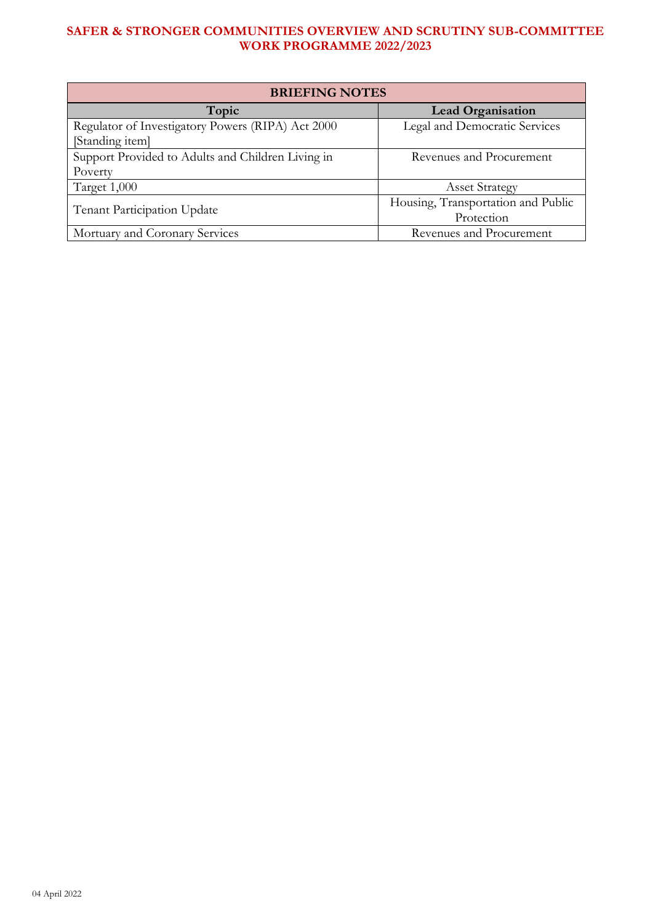| <b>BRIEFING NOTES</b>                             |                                    |  |  |  |  |
|---------------------------------------------------|------------------------------------|--|--|--|--|
| Topic                                             | <b>Lead Organisation</b>           |  |  |  |  |
| Regulator of Investigatory Powers (RIPA) Act 2000 | Legal and Democratic Services      |  |  |  |  |
| [Standing item]                                   |                                    |  |  |  |  |
| Support Provided to Adults and Children Living in | Revenues and Procurement           |  |  |  |  |
| Poverty                                           |                                    |  |  |  |  |
| Target 1,000                                      | <b>Asset Strategy</b>              |  |  |  |  |
| Tenant Participation Update                       | Housing, Transportation and Public |  |  |  |  |
|                                                   | Protection                         |  |  |  |  |
| Mortuary and Coronary Services                    | Revenues and Procurement           |  |  |  |  |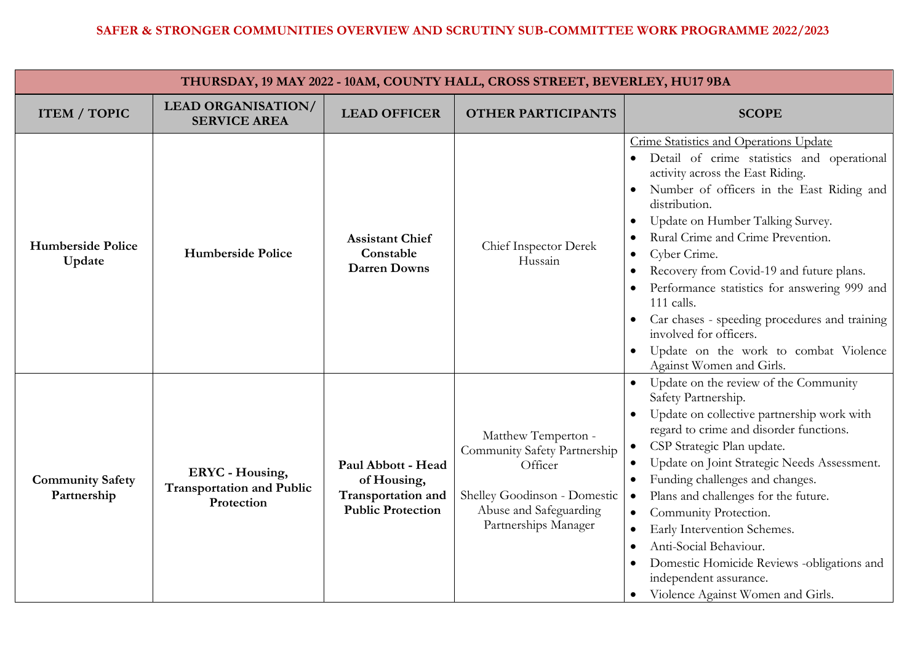| THURSDAY, 19 MAY 2022 - 10AM, COUNTY HALL, CROSS STREET, BEVERLEY, HU17 9BA |                                                                          |                                                                                     |                                                                                                                                                  |                                                                                                                                                                                                                                                                                                                                                                                                                                                                                                                                                                                                                                                |  |
|-----------------------------------------------------------------------------|--------------------------------------------------------------------------|-------------------------------------------------------------------------------------|--------------------------------------------------------------------------------------------------------------------------------------------------|------------------------------------------------------------------------------------------------------------------------------------------------------------------------------------------------------------------------------------------------------------------------------------------------------------------------------------------------------------------------------------------------------------------------------------------------------------------------------------------------------------------------------------------------------------------------------------------------------------------------------------------------|--|
| <b>ITEM / TOPIC</b>                                                         | <b>LEAD ORGANISATION/</b><br><b>SERVICE AREA</b>                         | <b>LEAD OFFICER</b>                                                                 | <b>OTHER PARTICIPANTS</b>                                                                                                                        | <b>SCOPE</b>                                                                                                                                                                                                                                                                                                                                                                                                                                                                                                                                                                                                                                   |  |
| <b>Humberside Police</b><br>Update                                          | <b>Humberside Police</b>                                                 | <b>Assistant Chief</b><br>Constable<br><b>Darren Downs</b>                          | Chief Inspector Derek<br>Hussain                                                                                                                 | Crime Statistics and Operations Update<br>Detail of crime statistics and operational<br>activity across the East Riding.<br>Number of officers in the East Riding and<br>distribution.<br>Update on Humber Talking Survey.<br>$\bullet$<br>Rural Crime and Crime Prevention.<br>$\bullet$<br>Cyber Crime.<br>$\bullet$<br>Recovery from Covid-19 and future plans.<br>$\bullet$<br>Performance statistics for answering 999 and<br>$\bullet$<br>111 calls.<br>Car chases - speeding procedures and training<br>involved for officers.<br>Update on the work to combat Violence<br>$\bullet$<br>Against Women and Girls.                        |  |
| <b>Community Safety</b><br>Partnership                                      | <b>ERYC</b> - Housing,<br><b>Transportation and Public</b><br>Protection | Paul Abbott - Head<br>of Housing,<br>Transportation and<br><b>Public Protection</b> | Matthew Temperton -<br>Community Safety Partnership<br>Officer<br>Shelley Goodinson - Domestic<br>Abuse and Safeguarding<br>Partnerships Manager | Update on the review of the Community<br>Safety Partnership.<br>Update on collective partnership work with<br>$\bullet$<br>regard to crime and disorder functions.<br>CSP Strategic Plan update.<br>$\bullet$<br>Update on Joint Strategic Needs Assessment.<br>$\bullet$<br>Funding challenges and changes.<br>$\bullet$<br>Plans and challenges for the future.<br>$\bullet$<br>Community Protection.<br>$\bullet$<br>Early Intervention Schemes.<br>$\bullet$<br>Anti-Social Behaviour.<br>$\bullet$<br>Domestic Homicide Reviews -obligations and<br>$\bullet$<br>independent assurance.<br>Violence Against Women and Girls.<br>$\bullet$ |  |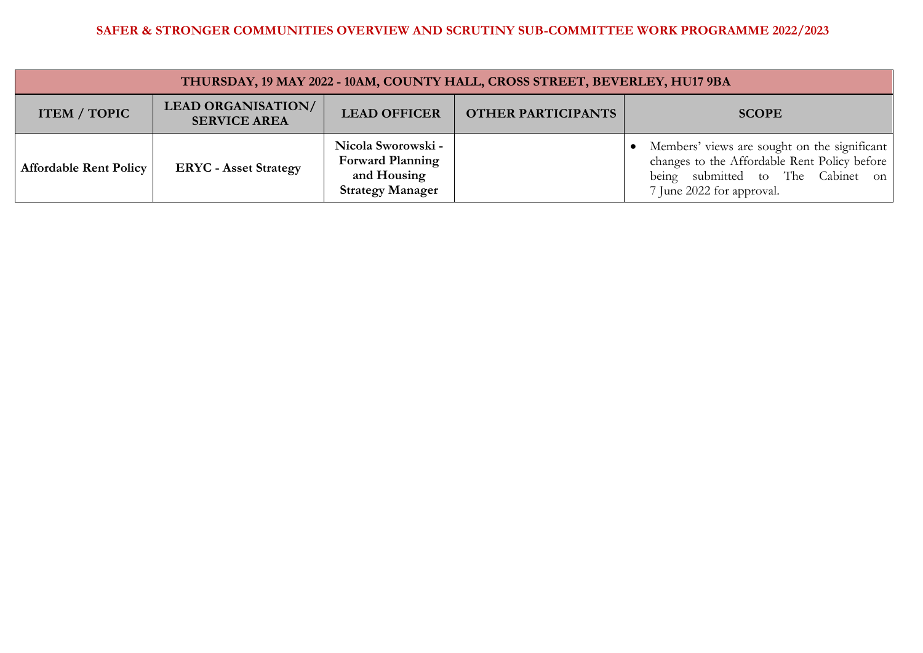| THURSDAY, 19 MAY 2022 - 10AM, COUNTY HALL, CROSS STREET, BEVERLEY, HU17 9BA |                                                  |                                                                                         |                           |                                                                                                                                                                |  |
|-----------------------------------------------------------------------------|--------------------------------------------------|-----------------------------------------------------------------------------------------|---------------------------|----------------------------------------------------------------------------------------------------------------------------------------------------------------|--|
| <b>ITEM / TOPIC</b>                                                         | <b>LEAD ORGANISATION/</b><br><b>SERVICE AREA</b> | <b>LEAD OFFICER</b>                                                                     | <b>OTHER PARTICIPANTS</b> | <b>SCOPE</b>                                                                                                                                                   |  |
| Affordable Rent Policy                                                      | <b>ERYC</b> - Asset Strategy                     | Nicola Sworowski -<br><b>Forward Planning</b><br>and Housing<br><b>Strategy Manager</b> |                           | Members' views are sought on the significant<br>changes to the Affordable Rent Policy before<br>being submitted to The Cabinet on<br>7 June 2022 for approval. |  |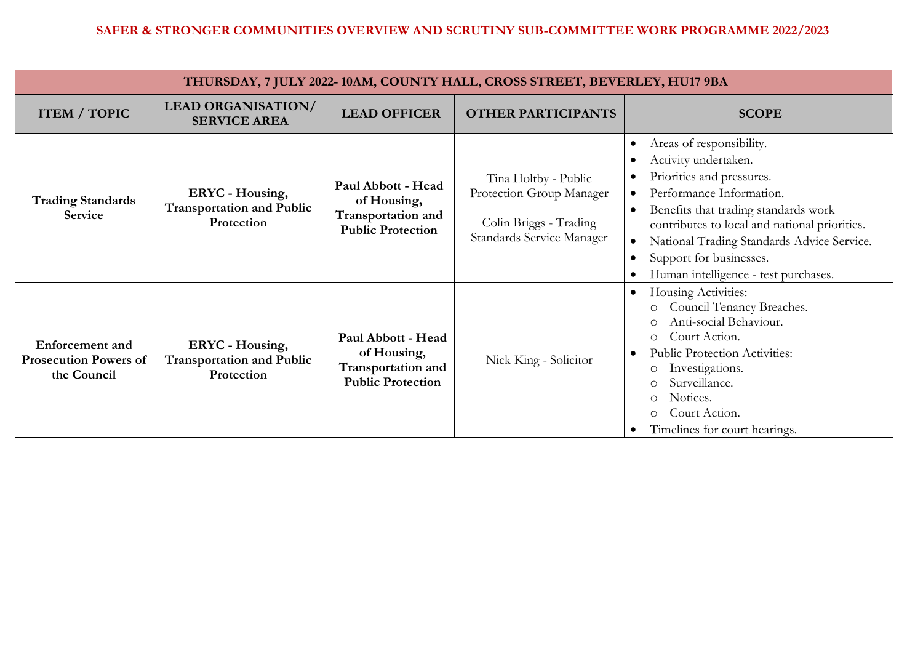| THURSDAY, 7 JULY 2022-10AM, COUNTY HALL, CROSS STREET, BEVERLEY, HU17 9BA |                                                                          |                                                                                            |                                                                                                         |                                                                                                                                                                                                                                                                                                                                                                                      |  |
|---------------------------------------------------------------------------|--------------------------------------------------------------------------|--------------------------------------------------------------------------------------------|---------------------------------------------------------------------------------------------------------|--------------------------------------------------------------------------------------------------------------------------------------------------------------------------------------------------------------------------------------------------------------------------------------------------------------------------------------------------------------------------------------|--|
| <b>ITEM / TOPIC</b>                                                       | <b>LEAD ORGANISATION/</b><br><b>SERVICE AREA</b>                         | <b>LEAD OFFICER</b>                                                                        | <b>OTHER PARTICIPANTS</b>                                                                               | <b>SCOPE</b>                                                                                                                                                                                                                                                                                                                                                                         |  |
| <b>Trading Standards</b><br>Service                                       | <b>ERYC</b> - Housing,<br><b>Transportation and Public</b><br>Protection | Paul Abbott - Head<br>of Housing,<br><b>Transportation and</b><br><b>Public Protection</b> | Tina Holtby - Public<br>Protection Group Manager<br>Colin Briggs - Trading<br>Standards Service Manager | Areas of responsibility.<br>$\bullet$<br>Activity undertaken.<br>Priorities and pressures.<br>Performance Information.<br>$\bullet$<br>Benefits that trading standards work<br>$\bullet$<br>contributes to local and national priorities.<br>National Trading Standards Advice Service.<br>$\bullet$<br>Support for businesses.<br>$\bullet$<br>Human intelligence - test purchases. |  |
| <b>Enforcement</b> and<br><b>Prosecution Powers of</b><br>the Council     | <b>ERYC</b> - Housing,<br><b>Transportation and Public</b><br>Protection | Paul Abbott - Head<br>of Housing,<br>Transportation and<br><b>Public Protection</b>        | Nick King - Solicitor                                                                                   | Housing Activities:<br>$\bullet$<br>Council Tenancy Breaches.<br>Anti-social Behaviour.<br>Court Action.<br>$\circ$<br><b>Public Protection Activities:</b><br>$\bullet$<br>Investigations.<br>O<br>Surveillance.<br>Notices.<br>Court Action.<br>O<br>Timelines for court hearings.                                                                                                 |  |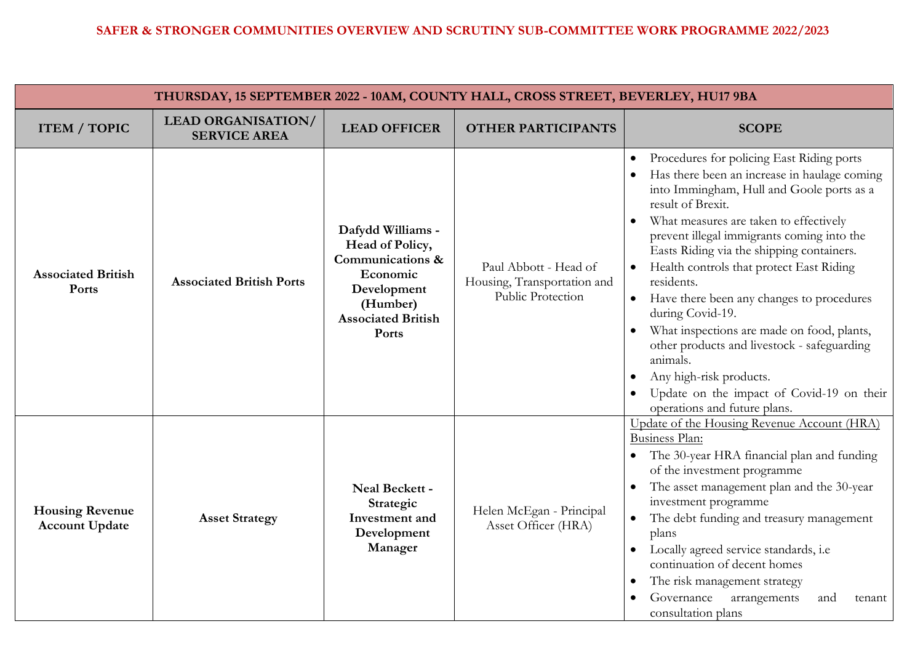| THURSDAY, 15 SEPTEMBER 2022 - 10AM, COUNTY HALL, CROSS STREET, BEVERLEY, HU17 9BA |                                                  |                                                                                                                                       |                                                                           |                                                                                                                                                                                                                                                                                                                                                                                                                                                                                                                                                                                                                                                                        |  |
|-----------------------------------------------------------------------------------|--------------------------------------------------|---------------------------------------------------------------------------------------------------------------------------------------|---------------------------------------------------------------------------|------------------------------------------------------------------------------------------------------------------------------------------------------------------------------------------------------------------------------------------------------------------------------------------------------------------------------------------------------------------------------------------------------------------------------------------------------------------------------------------------------------------------------------------------------------------------------------------------------------------------------------------------------------------------|--|
| <b>ITEM / TOPIC</b>                                                               | <b>LEAD ORGANISATION/</b><br><b>SERVICE AREA</b> | <b>LEAD OFFICER</b>                                                                                                                   | <b>OTHER PARTICIPANTS</b>                                                 | <b>SCOPE</b>                                                                                                                                                                                                                                                                                                                                                                                                                                                                                                                                                                                                                                                           |  |
| <b>Associated British</b><br>Ports                                                | <b>Associated British Ports</b>                  | Dafydd Williams -<br>Head of Policy,<br>Communications &<br>Economic<br>Development<br>(Humber)<br><b>Associated British</b><br>Ports | Paul Abbott - Head of<br>Housing, Transportation and<br>Public Protection | Procedures for policing East Riding ports<br>Has there been an increase in haulage coming<br>into Immingham, Hull and Goole ports as a<br>result of Brexit.<br>What measures are taken to effectively<br>$\bullet$<br>prevent illegal immigrants coming into the<br>Easts Riding via the shipping containers.<br>Health controls that protect East Riding<br>$\bullet$<br>residents.<br>Have there been any changes to procedures<br>during Covid-19.<br>What inspections are made on food, plants,<br>other products and livestock - safeguarding<br>animals.<br>Any high-risk products.<br>Update on the impact of Covid-19 on their<br>operations and future plans. |  |
| <b>Housing Revenue</b><br><b>Account Update</b>                                   | <b>Asset Strategy</b>                            | Neal Beckett -<br>Strategic<br>Investment and<br>Development<br>Manager                                                               | Helen McEgan - Principal<br>Asset Officer (HRA)                           | Update of the Housing Revenue Account (HRA)<br>Business Plan:<br>The 30-year HRA financial plan and funding<br>of the investment programme<br>The asset management plan and the 30-year<br>investment programme<br>The debt funding and treasury management<br>$\bullet$<br>plans<br>Locally agreed service standards, i.e.<br>$\bullet$<br>continuation of decent homes<br>The risk management strategy<br>$\bullet$<br>Governance<br>arrangements<br>and<br>tenant<br>consultation plans                                                                                                                                                                             |  |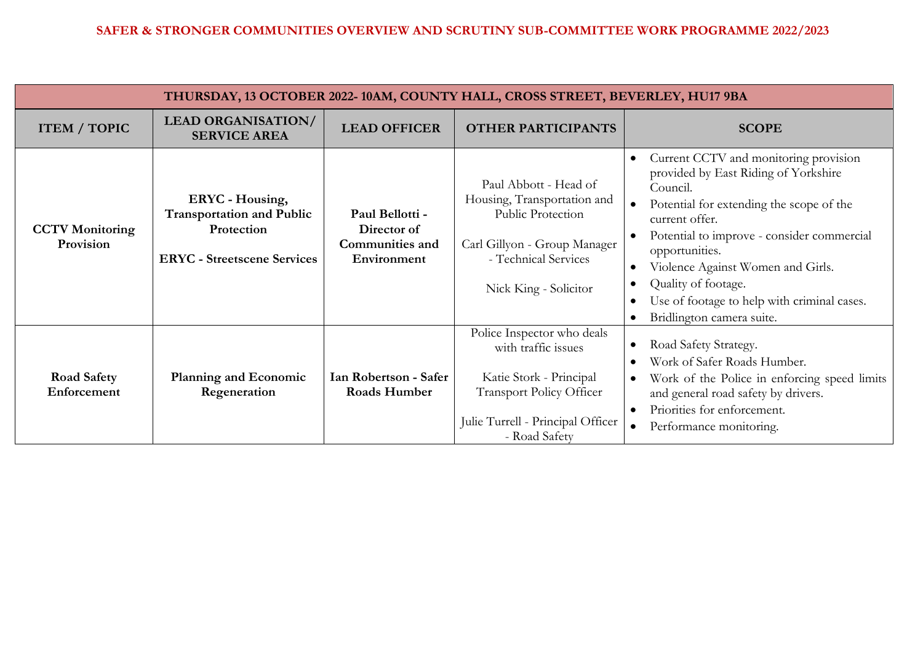| THURSDAY, 13 OCTOBER 2022-10AM, COUNTY HALL, CROSS STREET, BEVERLEY, HU17 9BA |                                                                                                                |                                                                         |                                                                                                                                                                       |                                                                                                                                                                                                                                                                                                                                                                                                                                               |  |
|-------------------------------------------------------------------------------|----------------------------------------------------------------------------------------------------------------|-------------------------------------------------------------------------|-----------------------------------------------------------------------------------------------------------------------------------------------------------------------|-----------------------------------------------------------------------------------------------------------------------------------------------------------------------------------------------------------------------------------------------------------------------------------------------------------------------------------------------------------------------------------------------------------------------------------------------|--|
| <b>ITEM / TOPIC</b>                                                           | <b>LEAD ORGANISATION/</b><br><b>SERVICE AREA</b>                                                               | <b>LEAD OFFICER</b>                                                     | <b>OTHER PARTICIPANTS</b>                                                                                                                                             | <b>SCOPE</b>                                                                                                                                                                                                                                                                                                                                                                                                                                  |  |
| <b>CCTV</b> Monitoring<br>Provision                                           | <b>ERYC</b> - Housing,<br><b>Transportation and Public</b><br>Protection<br><b>ERYC</b> - Streetscene Services | Paul Bellotti -<br>Director of<br><b>Communities and</b><br>Environment | Paul Abbott - Head of<br>Housing, Transportation and<br>Public Protection<br>Carl Gillyon - Group Manager<br>- Technical Services<br>Nick King - Solicitor            | Current CCTV and monitoring provision<br>$\bullet$<br>provided by East Riding of Yorkshire<br>Council.<br>Potential for extending the scope of the<br>$\bullet$<br>current offer.<br>Potential to improve - consider commercial<br>opportunities.<br>Violence Against Women and Girls.<br>$\bullet$<br>Quality of footage.<br>$\bullet$<br>Use of footage to help with criminal cases.<br>$\bullet$<br>Bridlington camera suite.<br>$\bullet$ |  |
| <b>Road Safety</b><br>Enforcement                                             | <b>Planning and Economic</b><br>Regeneration                                                                   | Ian Robertson - Safer<br><b>Roads Humber</b>                            | Police Inspector who deals<br>with traffic issues<br>Katie Stork - Principal<br><b>Transport Policy Officer</b><br>Julie Turrell - Principal Officer<br>- Road Safety | Road Safety Strategy.<br>$\bullet$<br>Work of Safer Roads Humber.<br>$\bullet$<br>Work of the Police in enforcing speed limits<br>$\bullet$<br>and general road safety by drivers.<br>Priorities for enforcement.<br>$\bullet$<br>Performance monitoring.                                                                                                                                                                                     |  |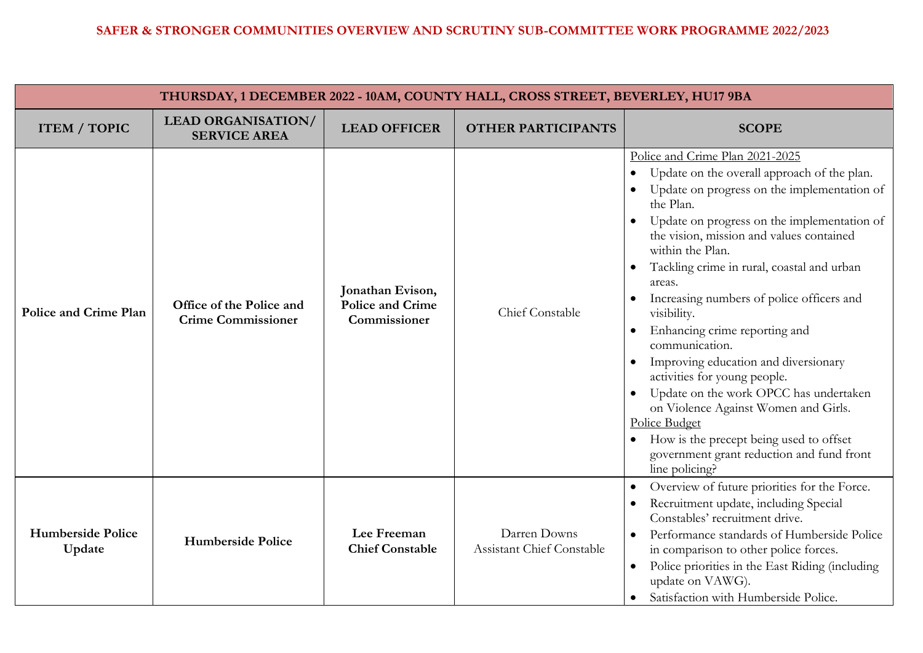| THURSDAY, 1 DECEMBER 2022 - 10AM, COUNTY HALL, CROSS STREET, BEVERLEY, HU17 9BA |                                                       |                                                             |                                                  |                                                                                                                                                                                                                                                                                                                                                                                                                                                                                                                                                                                                                                                                                                                                                 |  |
|---------------------------------------------------------------------------------|-------------------------------------------------------|-------------------------------------------------------------|--------------------------------------------------|-------------------------------------------------------------------------------------------------------------------------------------------------------------------------------------------------------------------------------------------------------------------------------------------------------------------------------------------------------------------------------------------------------------------------------------------------------------------------------------------------------------------------------------------------------------------------------------------------------------------------------------------------------------------------------------------------------------------------------------------------|--|
| <b>ITEM / TOPIC</b>                                                             | <b>LEAD ORGANISATION/</b><br><b>SERVICE AREA</b>      | <b>LEAD OFFICER</b>                                         | <b>OTHER PARTICIPANTS</b>                        | <b>SCOPE</b>                                                                                                                                                                                                                                                                                                                                                                                                                                                                                                                                                                                                                                                                                                                                    |  |
| <b>Police and Crime Plan</b>                                                    | Office of the Police and<br><b>Crime Commissioner</b> | Jonathan Evison,<br><b>Police and Crime</b><br>Commissioner | Chief Constable                                  | Police and Crime Plan 2021-2025<br>Update on the overall approach of the plan.<br>Update on progress on the implementation of<br>$\bullet$<br>the Plan.<br>Update on progress on the implementation of<br>the vision, mission and values contained<br>within the Plan.<br>Tackling crime in rural, coastal and urban<br>areas.<br>Increasing numbers of police officers and<br>visibility.<br>Enhancing crime reporting and<br>$\bullet$<br>communication.<br>Improving education and diversionary<br>activities for young people.<br>Update on the work OPCC has undertaken<br>on Violence Against Women and Girls.<br>Police Budget<br>How is the precept being used to offset<br>government grant reduction and fund front<br>line policing? |  |
| <b>Humberside Police</b><br>Update                                              | <b>Humberside Police</b>                              | Lee Freeman<br><b>Chief Constable</b>                       | Darren Downs<br><b>Assistant Chief Constable</b> | Overview of future priorities for the Force.<br>Recruitment update, including Special<br>Constables' recruitment drive.<br>Performance standards of Humberside Police<br>in comparison to other police forces.<br>Police priorities in the East Riding (including<br>$\bullet$<br>update on VAWG).<br>Satisfaction with Humberside Police.<br>$\bullet$                                                                                                                                                                                                                                                                                                                                                                                         |  |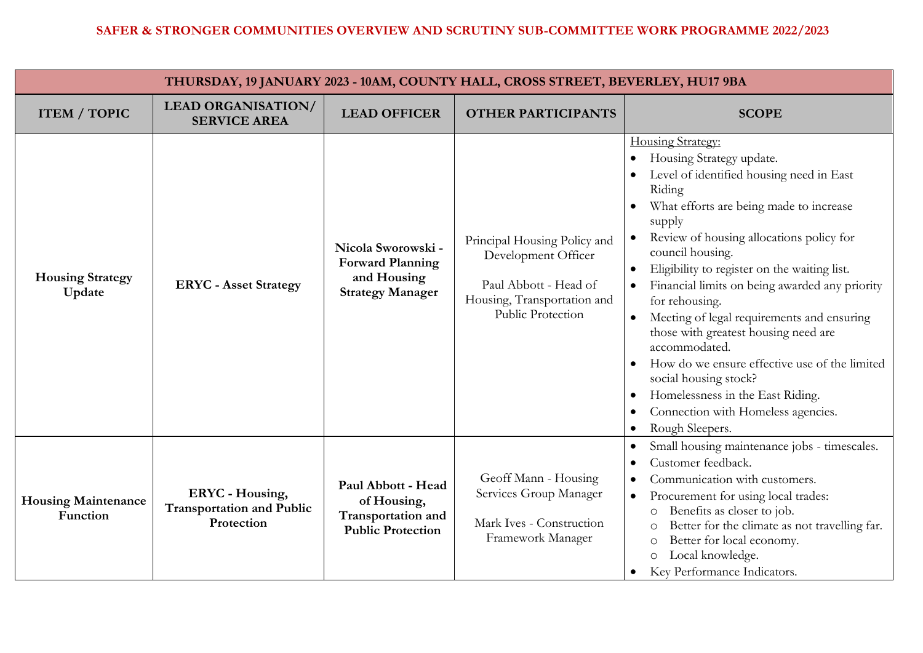| THURSDAY, 19 JANUARY 2023 - 10AM, COUNTY HALL, CROSS STREET, BEVERLEY, HU17 9BA |                                                                          |                                                                                         |                                                                                                                                  |                                                                                                                                                                                                                                                                                                                                                                                                                                                                                                                                                                                                                                                                                                                              |
|---------------------------------------------------------------------------------|--------------------------------------------------------------------------|-----------------------------------------------------------------------------------------|----------------------------------------------------------------------------------------------------------------------------------|------------------------------------------------------------------------------------------------------------------------------------------------------------------------------------------------------------------------------------------------------------------------------------------------------------------------------------------------------------------------------------------------------------------------------------------------------------------------------------------------------------------------------------------------------------------------------------------------------------------------------------------------------------------------------------------------------------------------------|
| <b>ITEM / TOPIC</b>                                                             | <b>LEAD ORGANISATION/</b><br><b>SERVICE AREA</b>                         | <b>LEAD OFFICER</b>                                                                     | <b>OTHER PARTICIPANTS</b>                                                                                                        | <b>SCOPE</b>                                                                                                                                                                                                                                                                                                                                                                                                                                                                                                                                                                                                                                                                                                                 |
| <b>Housing Strategy</b><br>Update                                               | <b>ERYC</b> - Asset Strategy                                             | Nicola Sworowski -<br><b>Forward Planning</b><br>and Housing<br><b>Strategy Manager</b> | Principal Housing Policy and<br>Development Officer<br>Paul Abbott - Head of<br>Housing, Transportation and<br>Public Protection | <b>Housing Strategy:</b><br>Housing Strategy update.<br>$\bullet$<br>Level of identified housing need in East<br>Riding<br>What efforts are being made to increase<br>supply<br>Review of housing allocations policy for<br>council housing.<br>Eligibility to register on the waiting list.<br>$\bullet$<br>Financial limits on being awarded any priority<br>for rehousing.<br>Meeting of legal requirements and ensuring<br>$\bullet$<br>those with greatest housing need are<br>accommodated.<br>How do we ensure effective use of the limited<br>$\bullet$<br>social housing stock?<br>Homelessness in the East Riding.<br>$\bullet$<br>Connection with Homeless agencies.<br>$\bullet$<br>Rough Sleepers.<br>$\bullet$ |
| <b>Housing Maintenance</b><br>Function                                          | <b>ERYC</b> - Housing,<br><b>Transportation and Public</b><br>Protection | Paul Abbott - Head<br>of Housing,<br>Transportation and<br><b>Public Protection</b>     | Geoff Mann - Housing<br>Services Group Manager<br>Mark Ives - Construction<br>Framework Manager                                  | Small housing maintenance jobs - timescales.<br>$\bullet$<br>Customer feedback.<br>$\bullet$<br>Communication with customers.<br>$\bullet$<br>Procurement for using local trades:<br>$\bullet$<br>Benefits as closer to job.<br>$\circ$<br>Better for the climate as not travelling far.<br>$\circ$<br>Better for local economy.<br>$\circ$<br>Local knowledge.<br>$\circ$<br>Key Performance Indicators.<br>$\bullet$                                                                                                                                                                                                                                                                                                       |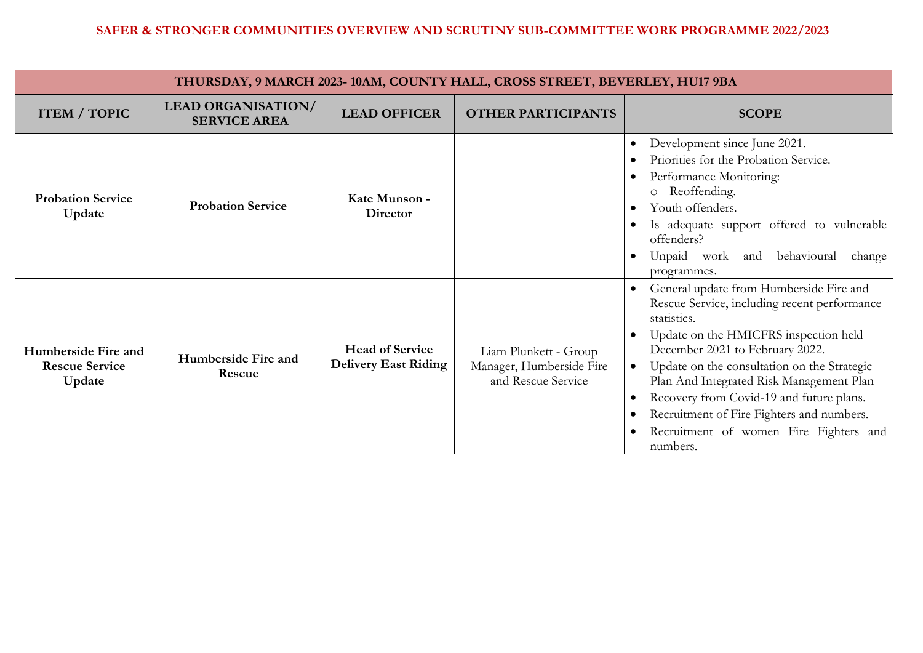| THURSDAY, 9 MARCH 2023-10AM, COUNTY HALL, CROSS STREET, BEVERLEY, HU17 9BA |                                                  |                                                       |                                                                         |                                                                                                                                                                                                                                                                                                                                                                                                                                           |  |
|----------------------------------------------------------------------------|--------------------------------------------------|-------------------------------------------------------|-------------------------------------------------------------------------|-------------------------------------------------------------------------------------------------------------------------------------------------------------------------------------------------------------------------------------------------------------------------------------------------------------------------------------------------------------------------------------------------------------------------------------------|--|
| <b>ITEM / TOPIC</b>                                                        | <b>LEAD ORGANISATION/</b><br><b>SERVICE AREA</b> | <b>LEAD OFFICER</b>                                   | <b>OTHER PARTICIPANTS</b>                                               | <b>SCOPE</b>                                                                                                                                                                                                                                                                                                                                                                                                                              |  |
| <b>Probation Service</b><br>Update                                         | <b>Probation Service</b>                         | Kate Munson -<br>Director                             |                                                                         | Development since June 2021.<br>٠<br>Priorities for the Probation Service.<br>Performance Monitoring:<br>Reoffending.<br>$\circ$<br>Youth offenders.<br>Is adequate support offered to vulnerable<br>offenders?<br>behavioural<br>Unpaid work and<br>change<br>programmes.                                                                                                                                                                |  |
| Humberside Fire and<br><b>Rescue Service</b><br>Update                     | Humberside Fire and<br>Rescue                    | <b>Head of Service</b><br><b>Delivery East Riding</b> | Liam Plunkett - Group<br>Manager, Humberside Fire<br>and Rescue Service | General update from Humberside Fire and<br>Rescue Service, including recent performance<br>statistics.<br>Update on the HMICFRS inspection held<br>December 2021 to February 2022.<br>Update on the consultation on the Strategic<br>Plan And Integrated Risk Management Plan<br>Recovery from Covid-19 and future plans.<br>$\bullet$<br>Recruitment of Fire Fighters and numbers.<br>Recruitment of women Fire Fighters and<br>numbers. |  |